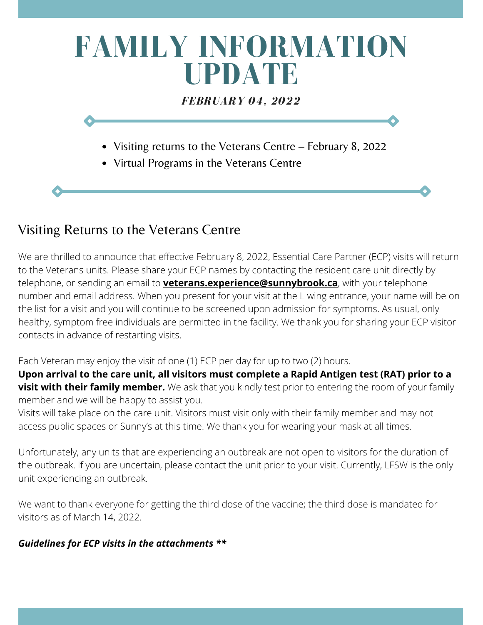# **FAMILY INFORMATION UPDATE** *FEBRUARY 04, 2022*

- Visiting returns to the Veterans Centre February 8, 2022
- Virtual Programs in the Veterans Centre

## Visiting Returns to the Veterans Centre

the list for a visit and you will continue to be screened upon admission for symptoms. As usual, only<br>healthy, symptom free individuals are permitted in the facility. We thank you for sharing your ECP vis We are thrilled to announce that effective February 8, 2022, Essential Care Partner (ECP) visits will return to the Veterans units. Please share your ECP names by contacting the resident care unit directly by telephone, or sending an email to **[veterans.experience@sunnybrook.ca](mailto:veterans.experience@sunnybrook.ca)**, with your telephone number and email address. When you present for your visit at the L wing entrance, your name will be on healthy, symptom free individuals are permitted in the facility. We thank you for sharing your ECP visitor contacts in advance of restarting visits.

Each Veteran may enjoy the visit of one (1) ECP per day for up to two (2) hours.

**Upon arrival to the care unit, all visitors must complete a Rapid Antigen test (RAT) prior to a visit with their family member.** We ask that you kindly test prior to entering the room of your family member and we will be happy to assist you.

Visits will take place on the care unit. Visitors must visit only with their family member and may not access public spaces or Sunny's at this time. We thank you for wearing your mask at all times.

Unfortunately, any units that are experiencing an outbreak are not open to visitors for the duration of the outbreak. If you are uncertain, please contact the unit prior to your visit. Currently, LFSW is the only unit experiencing an outbreak.

We want to thank everyone for getting the third dose of the vaccine; the third dose is mandated for visitors as of March 14, 2022.

## *Guidelines for ECP visits in the attachments \*\**